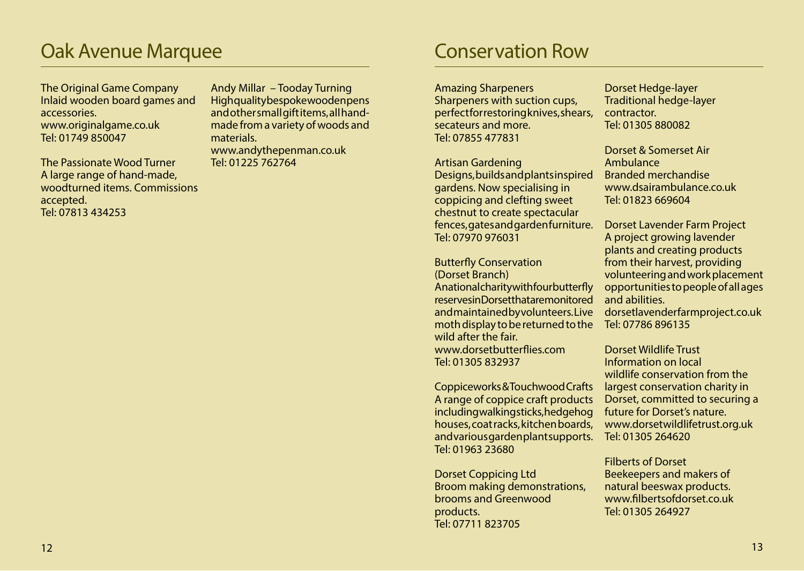# **Conservation Row**

Amazing Sharpeners

Sharpeners with suction cups, perfect for restoring knives, shears, secateurs and more. Tel: 07855 477831

Artisan Gardening Designs, builds and plants inspired gardens. Now specialising in coppicing and clefting sweet chestnut to create spectacular fences, gates and garden furniture. Tel: 07970 976031

Butterfly Conservation (Dorset Branch) A national charity with four butterfly reserves in Dorset that are monitored and maintained by volunteers. Live moth display to be returned to the wild after the fair. www.dorsetbutterflies.com Tel: 01305 832937

Coppiceworks & Touchwood Crafts A range of coppice craft products including walking sticks, hedgehog houses, coat racks, kitchen boards, and various garden plant supports. Tel: 01963 23680

Dorset Coppicing Ltd Broom making demonstrations, brooms and Greenwood products. Tel: 07711 823705

Dorset Hedge-layer Traditional hedge-layer contractor. Tel: 01305 880082

Dorset & Somerset Air Ambulance Branded merchandise www.dsairambulance.co.uk Tel: 01823 669604

Dorset Lavender Farm Project A project growing lavender plants and creating products from their harvest, providing volunteering and work placement opportunities to people of all ages and abilities.

dorsetlavenderfarmproject.co.uk Tel: 07786 896135

Dorset Wildlife Trust Information on local wildlife conservation from the largest conservation charity in Dorset, committed to securing a future for Dorset's nature. www.dorsetwildlifetrust.org.uk Tel: 01305 264620

Filberts of Dorset Beekeepers and makers of natural beeswax products. www.filbertsofdorset.co.uk Tel: 01305 264927